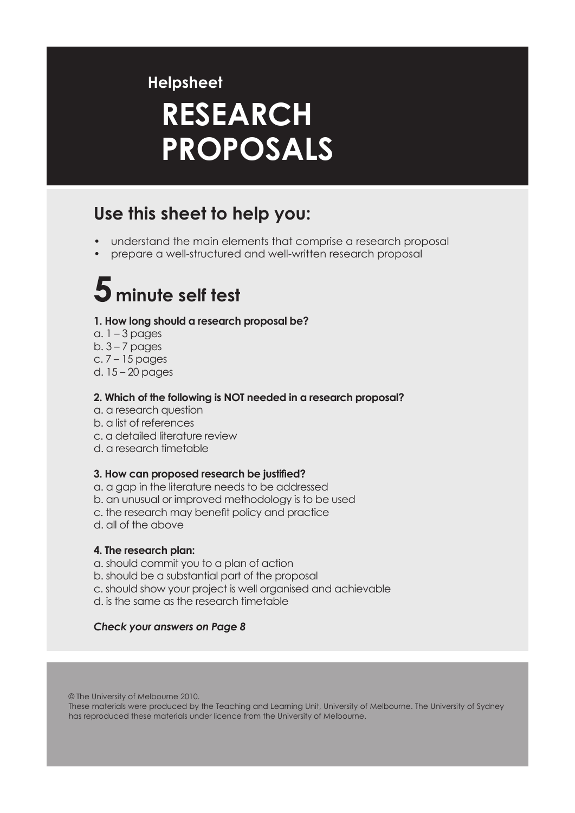### **Helpsheet**

# **RESEARCH PROPOSALS**

## **Use this sheet to help you:**

- understand the main elements that comprise a research proposal
- prepare a well-structured and well-written research proposal

# $5$  minute self test

### **1. How long should a research proposal be?**

- a.  $1 3$  pages
- $b. 3 7$  pages
- c. 7 15 pages
- d. 15 20 pages

### **2. Which of the following is NOT needed in a research proposal?**

- a. a research question
- b. a list of references
- c. a detailed literature review
- d. a research timetable

#### **3. How can proposed research be justified?**

- a. a gap in the literature needs to be addressed
- b. an unusual or improved methodology is to be used
- c. the research may benefit policy and practice
- d. all of the above

#### **4. The research plan:**

- a. should commit you to a plan of action
- b. should be a substantial part of the proposal
- c. should show your project is well organised and achievable
- d. is the same as the research timetable

#### *Check your answers on Page 8*

© The University of Melbourne 2010.

These materials were produced by the Teaching and Learning Unit, University of Melbourne. The University of Sydney has reproduced these materials under licence from the University of Melbourne.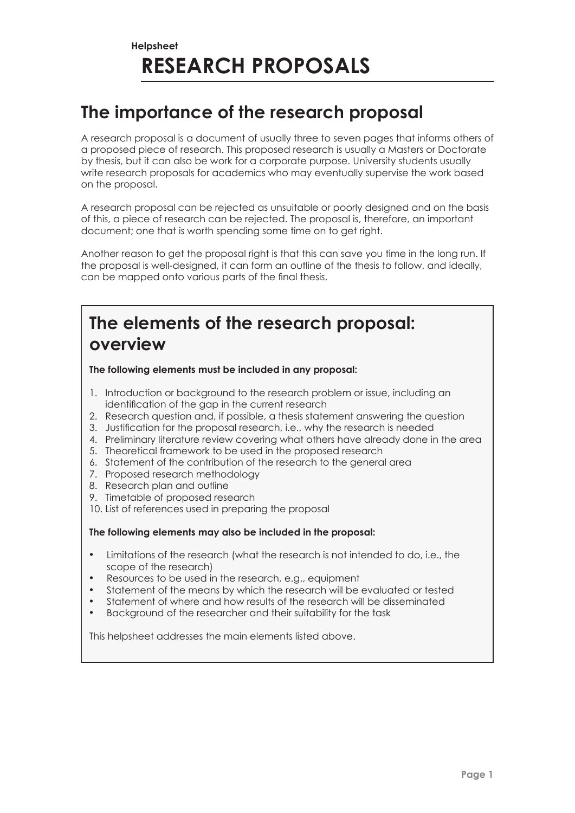### **The importance of the research proposal**

A research proposal is a document of usually three to seven pages that informs others of a proposed piece of research. This proposed research is usually a Masters or Doctorate by thesis, but it can also be work for a corporate purpose. University students usually write research proposals for academics who may eventually supervise the work based on the proposal.

A research proposal can be rejected as unsuitable or poorly designed and on the basis of this, a piece of research can be rejected. The proposal is, therefore, an important document; one that is worth spending some time on to get right.

Another reason to get the proposal right is that this can save you time in the long run. If the proposal is well-designed, it can form an outline of the thesis to follow, and ideally, can be mapped onto various parts of the final thesis.

### **The elements of the research proposal: overview**

**The following elements must be included in any proposal:**

- 1. Introduction or background to the research problem or issue, including an identification of the gap in the current research
- 2. Research question and, if possible, a thesis statement answering the question
- 3. Justification for the proposal research, i.e., why the research is needed
- 4. Preliminary literature review covering what others have already done in the area
- 5. Theoretical framework to be used in the proposed research
- 6. Statement of the contribution of the research to the general area
- 7. Proposed research methodology
- 8. Research plan and outline
- 9. Timetable of proposed research
- 10. List of references used in preparing the proposal

**The following elements may also be included in the proposal:**

- Limitations of the research (what the research is not intended to do, i.e., the scope of the research)
- Resources to be used in the research, e.g., equipment
- Statement of the means by which the research will be evaluated or tested
- Statement of where and how results of the research will be disseminated
- Background of the researcher and their suitability for the task

This helpsheet addresses the main elements listed above.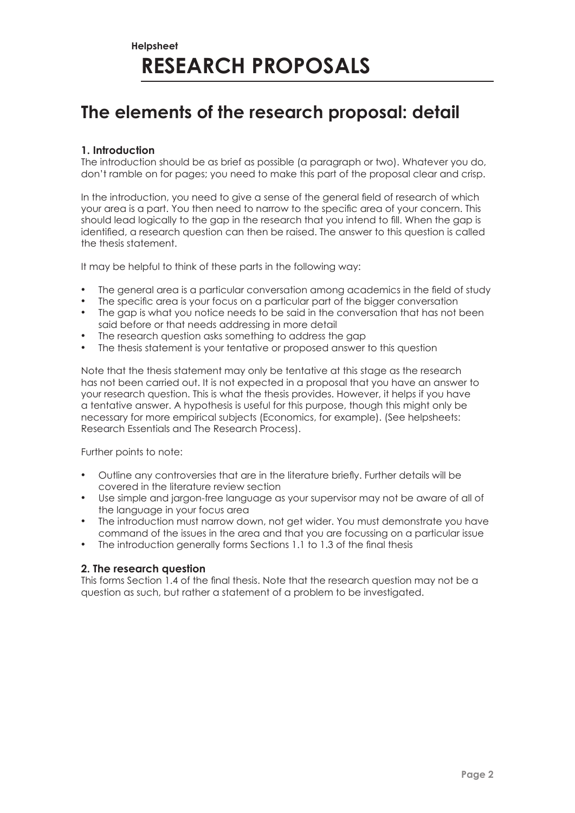### **The elements of the research proposal: detail**

### **1. Introduction**

The introduction should be as brief as possible (a paragraph or two). Whatever you do, don't ramble on for pages; you need to make this part of the proposal clear and crisp.

In the introduction, you need to give a sense of the general field of research of which your area is a part. You then need to narrow to the specific area of your concern. This should lead logically to the gap in the research that you intend to fill. When the gap is identified, a research question can then be raised. The answer to this question is called the thesis statement.

It may be helpful to think of these parts in the following way:

- The general area is a particular conversation among academics in the field of study
- The specific area is your focus on a particular part of the bigger conversation
- The gap is what you notice needs to be said in the conversation that has not been said before or that needs addressing in more detail
- The research question asks something to address the gap
- The thesis statement is your tentative or proposed answer to this question

Note that the thesis statement may only be tentative at this stage as the research has not been carried out. It is not expected in a proposal that you have an answer to your research question. This is what the thesis provides. However, it helps if you have a tentative answer. A hypothesis is useful for this purpose, though this might only be necessary for more empirical subjects (Economics, for example). (See helpsheets: Research Essentials and The Research Process).

Further points to note:

- Outline any controversies that are in the literature briefly. Further details will be covered in the literature review section
- Use simple and jargon-free language as your supervisor may not be aware of all of the language in your focus area
- The introduction must narrow down, not get wider. You must demonstrate you have command of the issues in the area and that you are focussing on a particular issue
- The introduction generally forms Sections 1.1 to 1.3 of the final thesis

#### **2. The research question**

This forms Section 1.4 of the final thesis. Note that the research question may not be a question as such, but rather a statement of a problem to be investigated.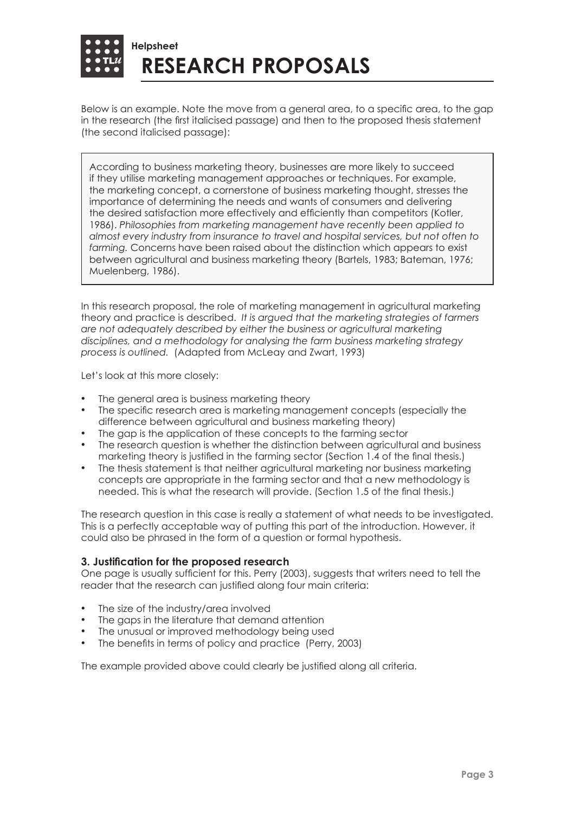

Below is an example. Note the move from a general area, to a specific area, to the gap in the research (the first italicised passage) and then to the proposed thesis statement (the second italicised passage):

According to business marketing theory, businesses are more likely to succeed if they utilise marketing management approaches or techniques. For example, the marketing concept, a cornerstone of business marketing thought, stresses the importance of determining the needs and wants of consumers and delivering the desired satisfaction more effectively and efficiently than competitors (Kotler, 1986). *Philosophies from marketing management have recently been applied to almost every industry from insurance to travel and hospital services, but not often to farming.* Concerns have been raised about the distinction which appears to exist between agricultural and business marketing theory (Bartels, 1983; Bateman, 1976; Muelenberg, 1986).

In this research proposal, the role of marketing management in agricultural marketing theory and practice is described. *It is argued that the marketing strategies of farmers are not adequately described by either the business or agricultural marketing disciplines, and a methodology for analysing the farm business marketing strategy process is outlined.* (Adapted from McLeay and Zwart, 1993)

Let's look at this more closely:

- The general area is business marketing theory
- The specific research area is marketing management concepts (especially the difference between agricultural and business marketing theory)
- The gap is the application of these concepts to the farming sector
- The research question is whether the distinction between agricultural and business marketing theory is justified in the farming sector (Section 1.4 of the final thesis.)
- The thesis statement is that neither agricultural marketing nor business marketing concepts are appropriate in the farming sector and that a new methodology is needed. This is what the research will provide. (Section 1.5 of the final thesis.)

The research question in this case is really a statement of what needs to be investigated. This is a perfectly acceptable way of putting this part of the introduction. However, it could also be phrased in the form of a question or formal hypothesis.

#### **3. Justification for the proposed research**

One page is usually sufficient for this. Perry (2003), suggests that writers need to tell the reader that the research can justified along four main criteria:

- The size of the industry/area involved
- The gaps in the literature that demand attention
- The unusual or improved methodology being used
- The benefits in terms of policy and practice (Perry, 2003)

The example provided above could clearly be justified along all criteria.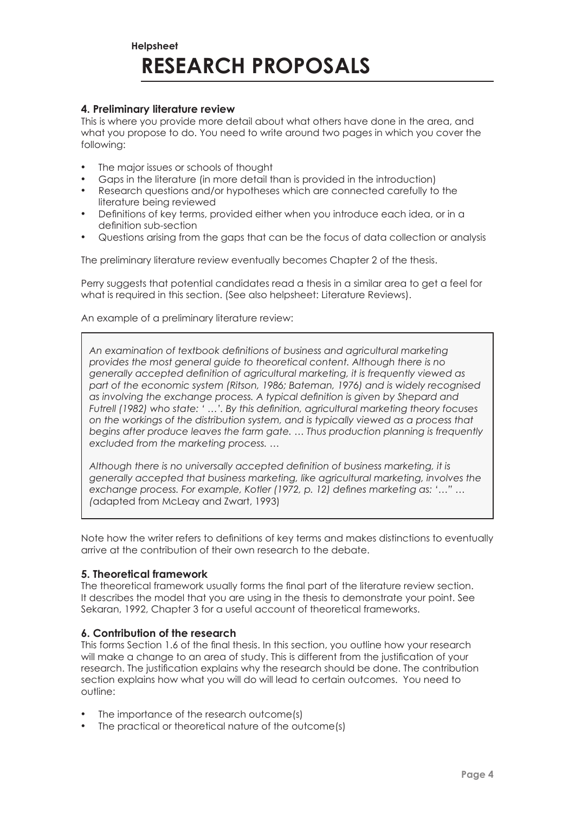#### **4. Preliminary literature review**

This is where you provide more detail about what others have done in the area, and what you propose to do. You need to write around two pages in which you cover the following:

- The major issues or schools of thought
- Gaps in the literature (in more detail than is provided in the introduction)
- Research questions and/or hypotheses which are connected carefully to the literature being reviewed
- Definitions of key terms, provided either when you introduce each idea, or in a definition sub-section
- Questions arising from the gaps that can be the focus of data collection or analysis

The preliminary literature review eventually becomes Chapter 2 of the thesis.

Perry suggests that potential candidates read a thesis in a similar area to get a feel for what is required in this section. (See also helpsheet: Literature Reviews).

An example of a preliminary literature review:

*An examination of textbook definitions of business and agricultural marketing provides the most general guide to theoretical content. Although there is no generally accepted definition of agricultural marketing, it is frequently viewed as part of the economic system (Ritson, 1986; Bateman, 1976) and is widely recognised as involving the exchange process. A typical definition is given by Shepard and Futrell (1982) who state: ' …'. By this definition, agricultural marketing theory focuses on the workings of the distribution system, and is typically viewed as a process that begins after produce leaves the farm gate. … Thus production planning is frequently excluded from the marketing process. …*

*Although there is no universally accepted definition of business marketing, it is generally accepted that business marketing, like agricultural marketing, involves the exchange process. For example, Kotler (1972, p. 12) defines marketing as: '…" … (*adapted from McLeay and Zwart, 1993)

Note how the writer refers to definitions of key terms and makes distinctions to eventually arrive at the contribution of their own research to the debate.

#### **5. Theoretical framework**

The theoretical framework usually forms the final part of the literature review section. It describes the model that you are using in the thesis to demonstrate your point. See Sekaran, 1992, Chapter 3 for a useful account of theoretical frameworks.

#### **6. Contribution of the research**

This forms Section 1.6 of the final thesis. In this section, you outline how your research will make a change to an area of study. This is different from the justification of your research. The justification explains why the research should be done. The contribution section explains how what you will do will lead to certain outcomes. You need to outline:

- The importance of the research outcome(s)
- The practical or theoretical nature of the outcome(s)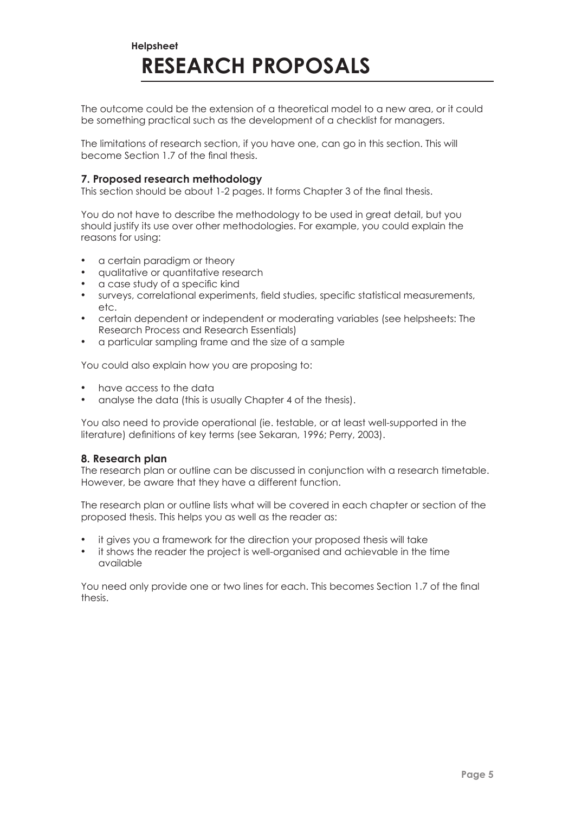The outcome could be the extension of a theoretical model to a new area, or it could be something practical such as the development of a checklist for managers.

The limitations of research section, if you have one, can go in this section. This will become Section 1.7 of the final thesis.

#### **7. Proposed research methodology**

This section should be about 1-2 pages. It forms Chapter 3 of the final thesis.

You do not have to describe the methodology to be used in great detail, but you should justify its use over other methodologies. For example, you could explain the reasons for using:

- a certain paradigm or theory
- qualitative or quantitative research
- a case study of a specific kind
- surveys, correlational experiments, field studies, specific statistical measurements, etc.
- certain dependent or independent or moderating variables (see helpsheets: The Research Process and Research Essentials)
- a particular sampling frame and the size of a sample

You could also explain how you are proposing to:

- have access to the data
- analyse the data (this is usually Chapter 4 of the thesis).

You also need to provide operational (ie. testable, or at least well-supported in the literature) definitions of key terms (see Sekaran, 1996; Perry, 2003).

#### **8. Research plan**

The research plan or outline can be discussed in conjunction with a research timetable. However, be aware that they have a different function.

The research plan or outline lists what will be covered in each chapter or section of the proposed thesis. This helps you as well as the reader as:

- it gives you a framework for the direction your proposed thesis will take
- it shows the reader the project is well-organised and achievable in the time available

You need only provide one or two lines for each. This becomes Section 1.7 of the final thesis.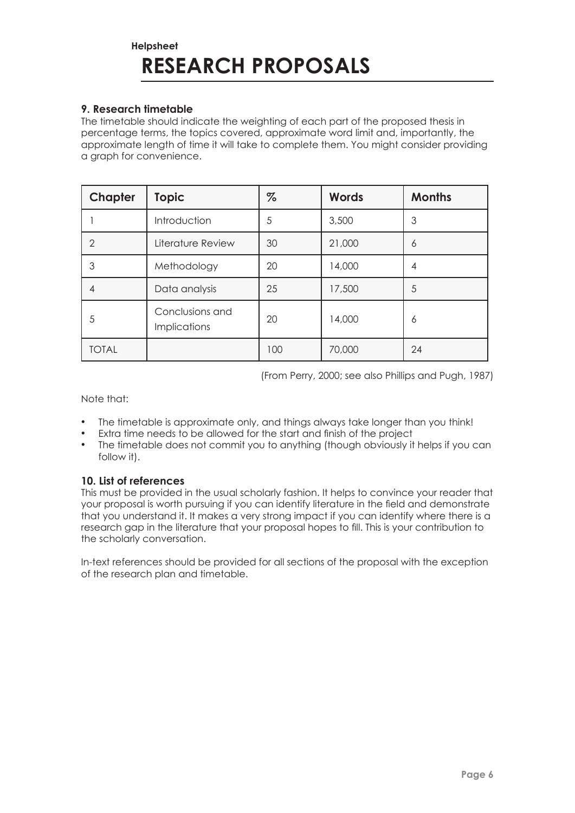### **9. Research timetable**

The timetable should indicate the weighting of each part of the proposed thesis in percentage terms, the topics covered, approximate word limit and, importantly, the approximate length of time it will take to complete them. You might consider providing a graph for convenience.

| Chapter        | <b>Topic</b>                           | $\%$ | <b>Words</b> | <b>Months</b> |
|----------------|----------------------------------------|------|--------------|---------------|
|                | Introduction                           | 5    | 3,500        | 3             |
| $\overline{2}$ | Literature Review                      | 30   | 21,000       | 6             |
| 3              | Methodology                            | 20   | 14,000       | 4             |
| 4              | Data analysis                          | 25   | 17,500       | 5             |
| 5              | Conclusions and<br><b>Implications</b> | 20   | 14,000       | 6             |
| <b>TOTAL</b>   |                                        | 100  | 70,000       | 24            |

(From Perry, 2000; see also Phillips and Pugh, 1987)

Note that:

- The timetable is approximate only, and things always take longer than you think!
- Extra time needs to be allowed for the start and finish of the project
- The timetable does not commit you to anything (though obviously it helps if you can follow it).

#### **10. List of references**

This must be provided in the usual scholarly fashion. It helps to convince your reader that your proposal is worth pursuing if you can identify literature in the field and demonstrate that you understand it. It makes a very strong impact if you can identify where there is a research gap in the literature that your proposal hopes to fill. This is your contribution to the scholarly conversation.

In-text references should be provided for all sections of the proposal with the exception of the research plan and timetable.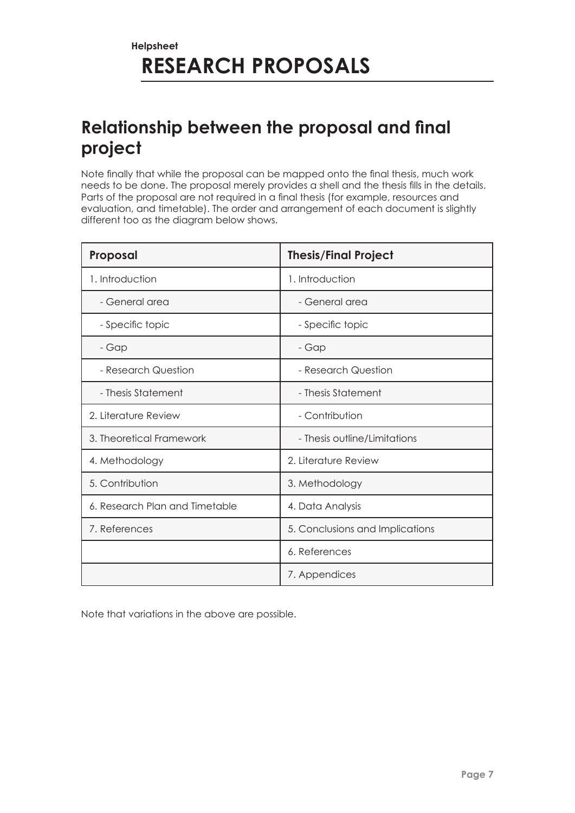# **Relationship between the proposal and final project**

Note finally that while the proposal can be mapped onto the final thesis, much work needs to be done. The proposal merely provides a shell and the thesis fills in the details. Parts of the proposal are not required in a final thesis (for example, resources and evaluation, and timetable). The order and arrangement of each document is slightly different too as the diagram below shows.

| Proposal                       | <b>Thesis/Final Project</b>     |  |
|--------------------------------|---------------------------------|--|
| 1. Introduction                | 1. Introduction                 |  |
| - General area                 | - General area                  |  |
| - Specific topic               | - Specific topic                |  |
| - Gap                          | - Gap                           |  |
| - Research Question            | - Research Question             |  |
| - Thesis Statement             | - Thesis Statement              |  |
| 2. Literature Review           | - Contribution                  |  |
| 3. Theoretical Framework       | - Thesis outline/Limitations    |  |
| 4. Methodology                 | 2. Literature Review            |  |
| 5. Contribution                | 3. Methodology                  |  |
| 6. Research Plan and Timetable | 4. Data Analysis                |  |
| 7. References                  | 5. Conclusions and Implications |  |
|                                | 6. References                   |  |
|                                | 7. Appendices                   |  |

Note that variations in the above are possible.